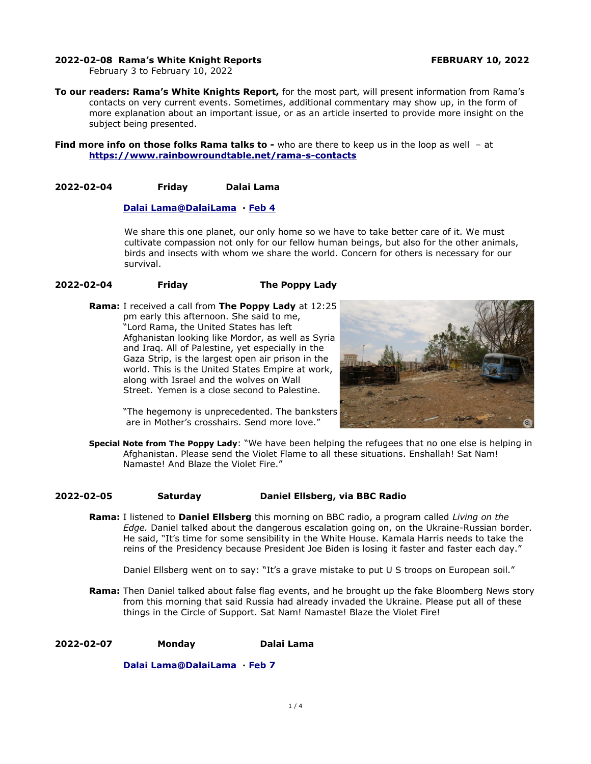#### **2022-02-08 Rama's White Knight Reports FEBRUARY 10, 2022**

February 3 to February 10, 2022

**To our readers: Rama's White Knights Report,** for the most part, will present information from Rama's contacts on very current events. Sometimes, additional commentary may show up, in the form of more explanation about an important issue, or as an article inserted to provide more insight on the subject being presented.

**Find more info on those folks Rama talks to -** who are there to keep us in the loop as well - at **<https://www.rainbowroundtable.net/rama-s-contacts>**

## **2022-02-04 Friday Dalai Lama**

#### **[Dalai](https://twitter.com/DalaiLama) [Lama @DalaiLama](mailto:Lama@DalaiLama) · [Feb 4](https://twitter.com/DalaiLama/status/1489531758815358976)**

We share this one planet, our only home so we have to take better care of it. We must cultivate compassion not only for our fellow human beings, but also for the other animals, birds and insects with whom we share the world. Concern for others is necessary for our survival.

#### **2022-02-04 Friday The Poppy Lady**

**Rama:** I received a call from **The Poppy Lady** at 12:25 pm early this afternoon. She said to me, "Lord Rama, the United States has left Afghanistan looking like Mordor, as well as Syria and Iraq. All of Palestine, yet especially in the Gaza Strip, is the largest open air prison in the world. This is the United States Empire at work, along with Israel and the wolves on Wall Street. Yemen is a close second to Palestine.



"The hegemony is unprecedented. The banksters are in Mother's crosshairs. Send more love."

**Special Note from The Poppy Lady**: "We have been helping the refugees that no one else is helping in Afghanistan. Please send the Violet Flame to all these situations. Enshallah! Sat Nam! Namaste! And Blaze the Violet Fire."

#### **2022-02-05 Saturday Daniel Ellsberg, via BBC Radio**

**Rama:** I listened to **Daniel Ellsberg** this morning on BBC radio, a program called *Living on the Edge.* Daniel talked about the dangerous escalation going on, on the Ukraine-Russian border. He said, "It's time for some sensibility in the White House. Kamala Harris needs to take the reins of the Presidency because President Joe Biden is losing it faster and faster each day."

Daniel Ellsberg went on to say: "It's a grave mistake to put U S troops on European soil."

**Rama:** Then Daniel talked about false flag events, and he brought up the fake Bloomberg News story from this morning that said Russia had already invaded the Ukraine. Please put all of these things in the Circle of Support. Sat Nam! Namaste! Blaze the Violet Fire!

**2022-02-07 Monday Dalai Lama**

 **[Dalai](https://twitter.com/DalaiLama) [Lama @DalaiLama](mailto:Lama@DalaiLama) · [Feb 7](https://twitter.com/DalaiLama/status/1489531758815358976)**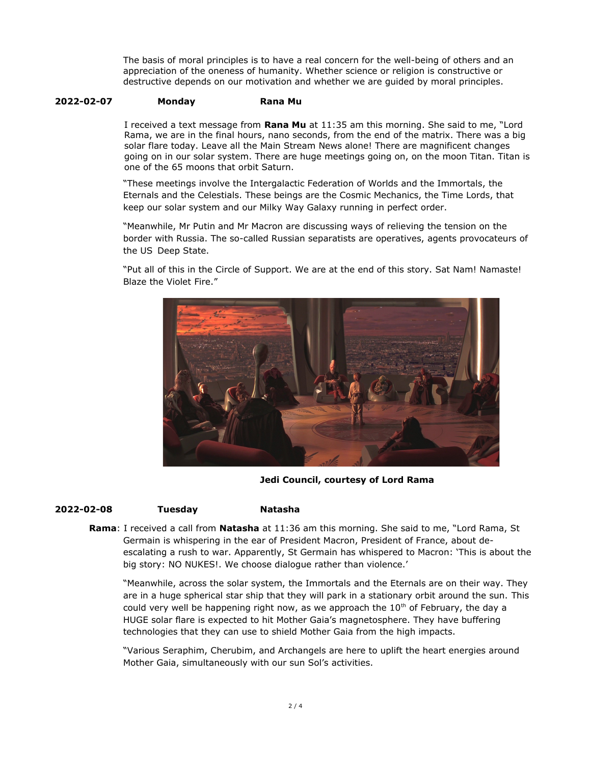The basis of moral principles is to have a real concern for the well-being of others and an appreciation of the oneness of humanity. Whether science or religion is constructive or destructive depends on our motivation and whether we are guided by moral principles.

### **2022-02-07 Monday Rana Mu**

I received a text message from **Rana Mu** at 11:35 am this morning. She said to me, "Lord Rama, we are in the final hours, nano seconds, from the end of the matrix. There was a big solar flare today. Leave all the Main Stream News alone! There are magnificent changes going on in our solar system. There are huge meetings going on, on the moon Titan. Titan is one of the 65 moons that orbit Saturn.

"These meetings involve the Intergalactic Federation of Worlds and the Immortals, the Eternals and the Celestials. These beings are the Cosmic Mechanics, the Time Lords, that keep our solar system and our Milky Way Galaxy running in perfect order.

"Meanwhile, Mr Putin and Mr Macron are discussing ways of relieving the tension on the border with Russia. The so-called Russian separatists are operatives, agents provocateurs of the US Deep State.

"Put all of this in the Circle of Support. We are at the end of this story. Sat Nam! Namaste! Blaze the Violet Fire."



**Jedi Council, courtesy of Lord Rama**

#### **2022-02-08 Tuesday Natasha**

**Rama**: I received a call from **Natasha** at 11:36 am this morning. She said to me, "Lord Rama, St Germain is whispering in the ear of President Macron, President of France, about deescalating a rush to war. Apparently, St Germain has whispered to Macron: 'This is about the big story: NO NUKES!. We choose dialogue rather than violence.'

"Meanwhile, across the solar system, the Immortals and the Eternals are on their way. They are in a huge spherical star ship that they will park in a stationary orbit around the sun. This could very well be happening right now, as we approach the  $10<sup>th</sup>$  of February, the day a HUGE solar flare is expected to hit Mother Gaia's magnetosphere. They have buffering technologies that they can use to shield Mother Gaia from the high impacts.

"Various Seraphim, Cherubim, and Archangels are here to uplift the heart energies around Mother Gaia, simultaneously with our sun Sol's activities.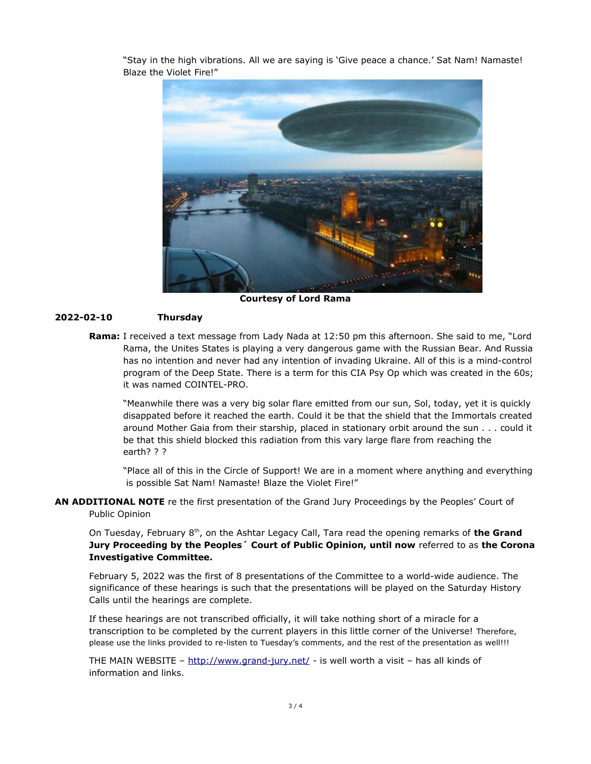"Stay in the high vibrations. All we are saying is 'Give peace a chance.' Sat Nam! Namaste! Blaze the Violet Fire!"



**Courtesy of Lord Rama**

## **2022-02-10 Thursday**

**Rama:** I received a text message from Lady Nada at 12:50 pm this afternoon. She said to me, "Lord Rama, the Unites States is playing a very dangerous game with the Russian Bear. And Russia has no intention and never had any intention of invading Ukraine. All of this is a mind-control program of the Deep State. There is a term for this CIA Psy Op which was created in the 60s; it was named COINTEL-PRO.

"Meanwhile there was a very big solar flare emitted from our sun, Sol, today, yet it is quickly disappated before it reached the earth. Could it be that the shield that the Immortals created around Mother Gaia from their starship, placed in stationary orbit around the sun . . . could it be that this shield blocked this radiation from this vary large flare from reaching the earth? ? ?

"Place all of this in the Circle of Support! We are in a moment where anything and everything is possible Sat Nam! Namaste! Blaze the Violet Fire!"

# **AN ADDITIONAL NOTE** re the first presentation of the Grand Jury Proceedings by the Peoples' Court of Public Opinion

On Tuesday, February 8th, on the Ashtar Legacy Call, Tara read the opening remarks of **the Grand Jury Proceeding by the Peoples´ Court of Public Opinion, until now** referred to as **the Corona Investigative Committee.**

February 5, 2022 was the first of 8 presentations of the Committee to a world-wide audience. The significance of these hearings is such that the presentations will be played on the Saturday History Calls until the hearings are complete.

If these hearings are not transcribed officially, it will take nothing short of a miracle for a transcription to be completed by the current players in this little corner of the Universe! Therefore, please use the links provided to re-listen to Tuesday's comments, and the rest of the presentation as well!!!

THE MAIN WEBSITE – <http://www.grand-jury.net/> - is well worth a visit – has all kinds of information and links.